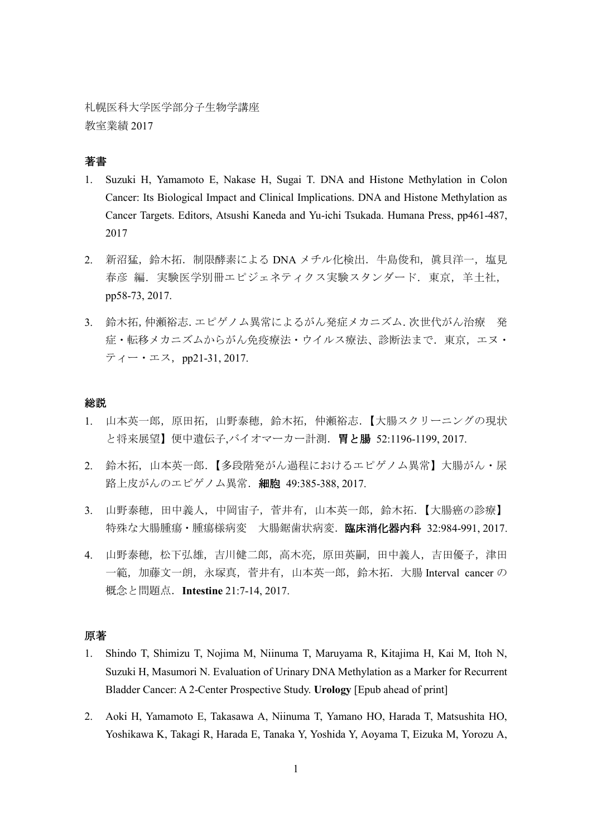札幌医科大学医学部分子生物学講座 教室業績 2017

# 著書

- 1. Suzuki H, Yamamoto E, Nakase H, Sugai T. DNA and Histone Methylation in Colon Cancer: Its Biological Impact and Clinical Implications. DNA and Histone Methylation as Cancer Targets. Editors, Atsushi Kaneda and Yu-ichi Tsukada. Humana Press, pp461-487, 2017
- 2. 新沼猛,鈴木拓. 制限酵素による DNA メチル化検出. 牛島俊和, 眞貝洋一, 塩見 春彦 編. 実験医学別冊エピジェネティクス実験スタンダード. 東京, 羊土社, pp58-73, 2017.
- 3. 鈴木拓,仲瀬裕志.エピゲノム異常によるがん発症メカニズム.次世代がん治療 発 症·転移メカニズムからがん免疫療法·ウイルス療法、診断法まで. 東京,エヌ·  $\bar{z}$ ィー・エス, pp21-31, 2017.

#### 総説

- 1. 山本英一郎,原田拓,山野泰穂,鈴木拓,仲瀬裕志.【大腸スクリーニングの現状 と将来展望】便中遺伝子,バイオマーカー計測.胃と腸 52:1196-1199, 2017.
- 2. 鈴木拓,山本英一郎.【多段階発がん過程におけるエピゲノム異常】大腸がん·尿 路上皮がんのエピゲノム異常. 細胞 49:385-388, 2017.
- 3. 山野泰穂,田中義人,中岡宙子,菅井有,山本英一郎,鈴木拓.【大腸癌の診療】 特殊な大腸腫瘍・腫瘍様病変 大腸鋸歯状病変. 臨床消化器内科 32:984-991, 2017.
- 4. 山野泰穂,松下弘雄,吉川健二郎,高木亮,原田英嗣,田中義人,吉田優子,津田 一範,加藤文一朗,永塚真,菅井有,山本英一郎,鈴木拓.大腸 Interval cancer の 概念と問題点.**Intestine** 21:7-14, 2017.

## 原著

- 1. Shindo T, Shimizu T, Nojima M, Niinuma T, Maruyama R, Kitajima H, Kai M, Itoh N, Suzuki H, Masumori N. Evaluation of Urinary DNA Methylation as a Marker for Recurrent Bladder Cancer: A 2-Center Prospective Study. **Urology** [Epub ahead of print]
- 2. Aoki H, Yamamoto E, Takasawa A, Niinuma T, Yamano HO, Harada T, Matsushita HO, Yoshikawa K, Takagi R, Harada E, Tanaka Y, Yoshida Y, Aoyama T, Eizuka M, Yorozu A,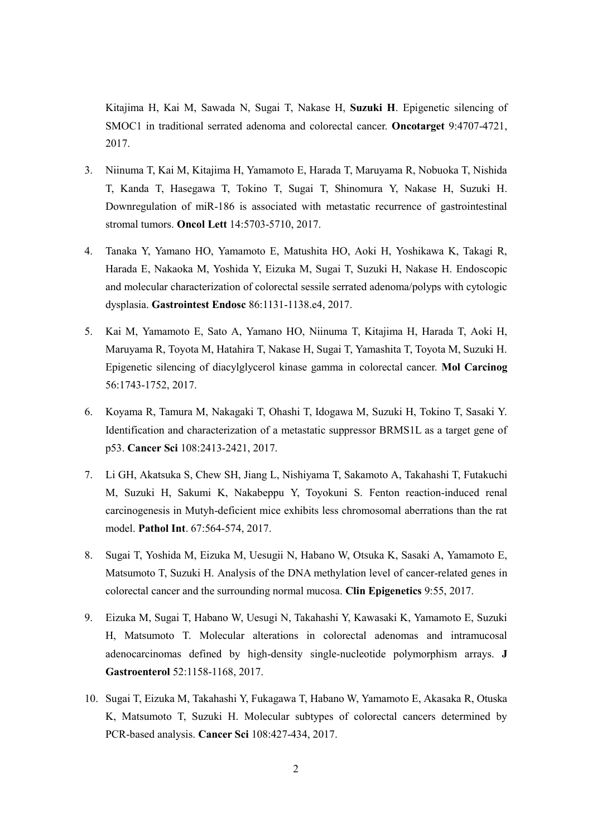Kitajima H, Kai M, Sawada N, Sugai T, Nakase H, **Suzuki H**. Epigenetic silencing of SMOC1 in traditional serrated adenoma and colorectal cancer. **Oncotarget** 9:4707-4721, 2017.

- 3. Niinuma T, Kai M, Kitajima H, Yamamoto E, Harada T, Maruyama R, Nobuoka T, Nishida T, Kanda T, Hasegawa T, Tokino T, Sugai T, Shinomura Y, Nakase H, Suzuki H. Downregulation of miR-186 is associated with metastatic recurrence of gastrointestinal stromal tumors. **Oncol Lett** 14:5703-5710, 2017.
- 4. Tanaka Y, Yamano HO, Yamamoto E, Matushita HO, Aoki H, Yoshikawa K, Takagi R, Harada E, Nakaoka M, Yoshida Y, Eizuka M, Sugai T, Suzuki H, Nakase H. Endoscopic and molecular characterization of colorectal sessile serrated adenoma/polyps with cytologic dysplasia. **Gastrointest Endosc** 86:1131-1138.e4, 2017.
- 5. Kai M, Yamamoto E, Sato A, Yamano HO, Niinuma T, Kitajima H, Harada T, Aoki H, Maruyama R, Toyota M, Hatahira T, Nakase H, Sugai T, Yamashita T, Toyota M, Suzuki H. Epigenetic silencing of diacylglycerol kinase gamma in colorectal cancer. **Mol Carcinog** 56:1743-1752, 2017.
- 6. Koyama R, Tamura M, Nakagaki T, Ohashi T, Idogawa M, Suzuki H, Tokino T, Sasaki Y. Identification and characterization of a metastatic suppressor BRMS1L as a target gene of p53. **Cancer Sci** 108:2413-2421, 2017.
- 7. Li GH, Akatsuka S, Chew SH, Jiang L, Nishiyama T, Sakamoto A, Takahashi T, Futakuchi M, Suzuki H, Sakumi K, Nakabeppu Y, Toyokuni S. Fenton reaction-induced renal carcinogenesis in Mutyh-deficient mice exhibits less chromosomal aberrations than the rat model. **Pathol Int**. 67:564-574, 2017.
- 8. Sugai T, Yoshida M, Eizuka M, Uesugii N, Habano W, Otsuka K, Sasaki A, Yamamoto E, Matsumoto T, Suzuki H. Analysis of the DNA methylation level of cancer-related genes in colorectal cancer and the surrounding normal mucosa. **Clin Epigenetics** 9:55, 2017.
- 9. Eizuka M, Sugai T, Habano W, Uesugi N, Takahashi Y, Kawasaki K, Yamamoto E, Suzuki H, Matsumoto T. Molecular alterations in colorectal adenomas and intramucosal adenocarcinomas defined by high-density single-nucleotide polymorphism arrays. **J Gastroenterol** 52:1158-1168, 2017.
- 10. Sugai T, Eizuka M, Takahashi Y, Fukagawa T, Habano W, Yamamoto E, Akasaka R, Otuska K, Matsumoto T, Suzuki H. Molecular subtypes of colorectal cancers determined by PCR-based analysis. **Cancer Sci** 108:427-434, 2017.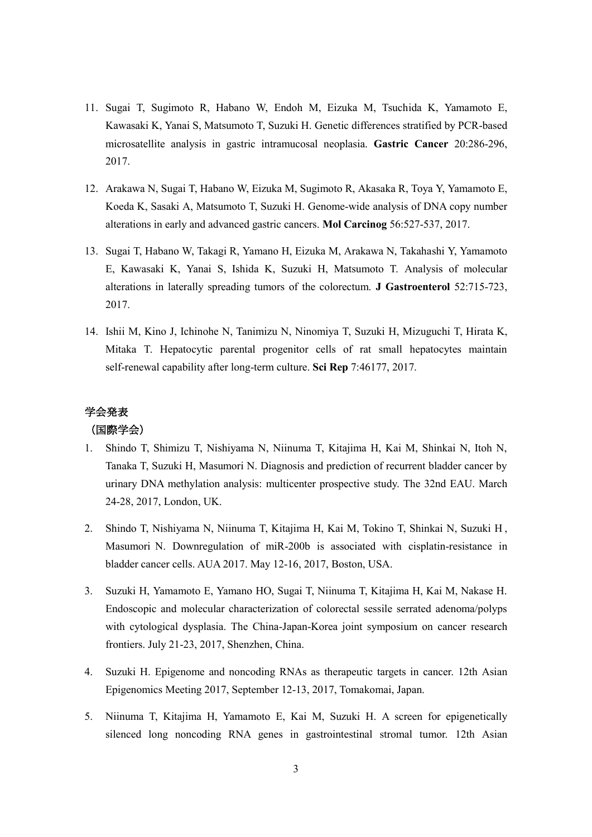- 11. Sugai T, Sugimoto R, Habano W, Endoh M, Eizuka M, Tsuchida K, Yamamoto E, Kawasaki K, Yanai S, Matsumoto T, Suzuki H. Genetic differences stratified by PCR-based microsatellite analysis in gastric intramucosal neoplasia. **Gastric Cancer** 20:286-296, 2017.
- 12. Arakawa N, Sugai T, Habano W, Eizuka M, Sugimoto R, Akasaka R, Toya Y, Yamamoto E, Koeda K, Sasaki A, Matsumoto T, Suzuki H. Genome-wide analysis of DNA copy number alterations in early and advanced gastric cancers. **Mol Carcinog** 56:527-537, 2017.
- 13. Sugai T, Habano W, Takagi R, Yamano H, Eizuka M, Arakawa N, Takahashi Y, Yamamoto E, Kawasaki K, Yanai S, Ishida K, Suzuki H, Matsumoto T. Analysis of molecular alterations in laterally spreading tumors of the colorectum. **J Gastroenterol** 52:715-723, 2017.
- 14. Ishii M, Kino J, Ichinohe N, Tanimizu N, Ninomiya T, Suzuki H, Mizuguchi T, Hirata K, Mitaka T. Hepatocytic parental progenitor cells of rat small hepatocytes maintain self-renewal capability after long-term culture. **Sci Rep** 7:46177, 2017.

# 学会発表

### (国際学会)

- 1. Shindo T, Shimizu T, Nishiyama N, Niinuma T, Kitajima H, Kai M, Shinkai N, Itoh N, Tanaka T, Suzuki H, Masumori N. Diagnosis and prediction of recurrent bladder cancer by urinary DNA methylation analysis: multicenter prospective study. The 32nd EAU. March 24-28, 2017, London, UK.
- 2. Shindo T, Nishiyama N, Niinuma T, Kitajima H, Kai M, Tokino T, Shinkai N, Suzuki H , Masumori N. Downregulation of miR-200b is associated with cisplatin-resistance in bladder cancer cells. AUA 2017. May 12-16, 2017, Boston, USA.
- 3. Suzuki H, Yamamoto E, Yamano HO, Sugai T, Niinuma T, Kitajima H, Kai M, Nakase H. Endoscopic and molecular characterization of colorectal sessile serrated adenoma/polyps with cytological dysplasia. The China-Japan-Korea joint symposium on cancer research frontiers. July 21-23, 2017, Shenzhen, China.
- 4. Suzuki H. Epigenome and noncoding RNAs as therapeutic targets in cancer. 12th Asian Epigenomics Meeting 2017, September 12-13, 2017, Tomakomai, Japan.
- 5. Niinuma T, Kitajima H, Yamamoto E, Kai M, Suzuki H. A screen for epigenetically silenced long noncoding RNA genes in gastrointestinal stromal tumor. 12th Asian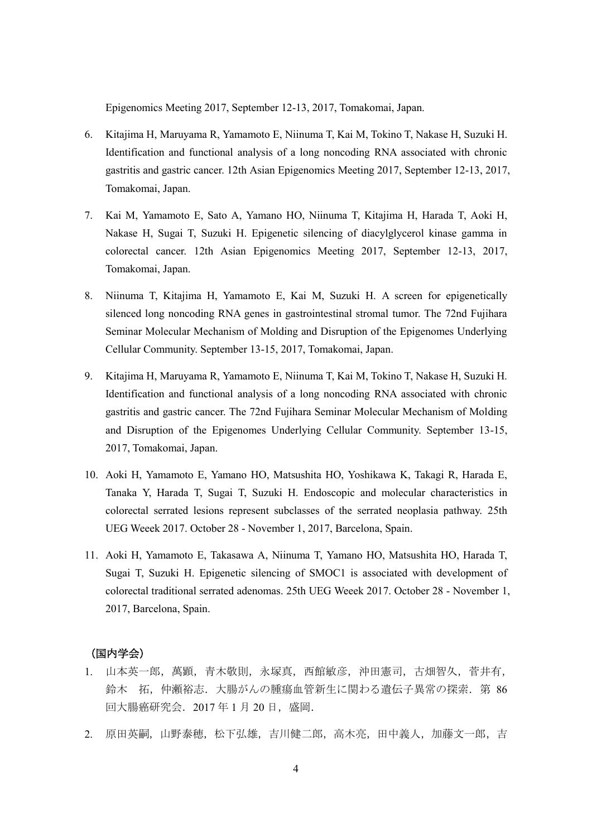Epigenomics Meeting 2017, September 12-13, 2017, Tomakomai, Japan.

- 6. Kitajima H, Maruyama R, Yamamoto E, Niinuma T, Kai M, Tokino T, Nakase H, Suzuki H. Identification and functional analysis of a long noncoding RNA associated with chronic gastritis and gastric cancer. 12th Asian Epigenomics Meeting 2017, September 12-13, 2017, Tomakomai, Japan.
- 7. Kai M, Yamamoto E, Sato A, Yamano HO, Niinuma T, Kitajima H, Harada T, Aoki H, Nakase H, Sugai T, Suzuki H. Epigenetic silencing of diacylglycerol kinase gamma in colorectal cancer. 12th Asian Epigenomics Meeting 2017, September 12-13, 2017, Tomakomai, Japan.
- 8. Niinuma T, Kitajima H, Yamamoto E, Kai M, Suzuki H. A screen for epigenetically silenced long noncoding RNA genes in gastrointestinal stromal tumor. The 72nd Fujihara Seminar Molecular Mechanism of Molding and Disruption of the Epigenomes Underlying Cellular Community. September 13-15, 2017, Tomakomai, Japan.
- 9. Kitajima H, Maruyama R, Yamamoto E, Niinuma T, Kai M, Tokino T, Nakase H, Suzuki H. Identification and functional analysis of a long noncoding RNA associated with chronic gastritis and gastric cancer. The 72nd Fujihara Seminar Molecular Mechanism of Molding and Disruption of the Epigenomes Underlying Cellular Community. September 13-15, 2017, Tomakomai, Japan.
- 10. Aoki H, Yamamoto E, Yamano HO, Matsushita HO, Yoshikawa K, Takagi R, Harada E, Tanaka Y, Harada T, Sugai T, Suzuki H. Endoscopic and molecular characteristics in colorectal serrated lesions represent subclasses of the serrated neoplasia pathway. 25th UEG Weeek 2017. October 28 - November 1, 2017, Barcelona, Spain.
- 11. Aoki H, Yamamoto E, Takasawa A, Niinuma T, Yamano HO, Matsushita HO, Harada T, Sugai T, Suzuki H. Epigenetic silencing of SMOC1 is associated with development of colorectal traditional serrated adenomas. 25th UEG Weeek 2017. October 28 - November 1, 2017, Barcelona, Spain.

### (国内学会)

- 1. 山本英一郎,萬顕,青木敬則,永塚真,西館敏彦,沖田憲司,古畑智久,菅井有, 鈴木 拓,仲瀬裕志. 大腸がんの腫瘍血管新生に関わる遺伝子異常の探索. 第 86 回大腸癌研究会. 2017年1月20日, 盛岡.
- 2. 原田英嗣,山野泰穂,松下弘雄,吉川健二郎,高木亮,田中義人,加藤文一郎,吉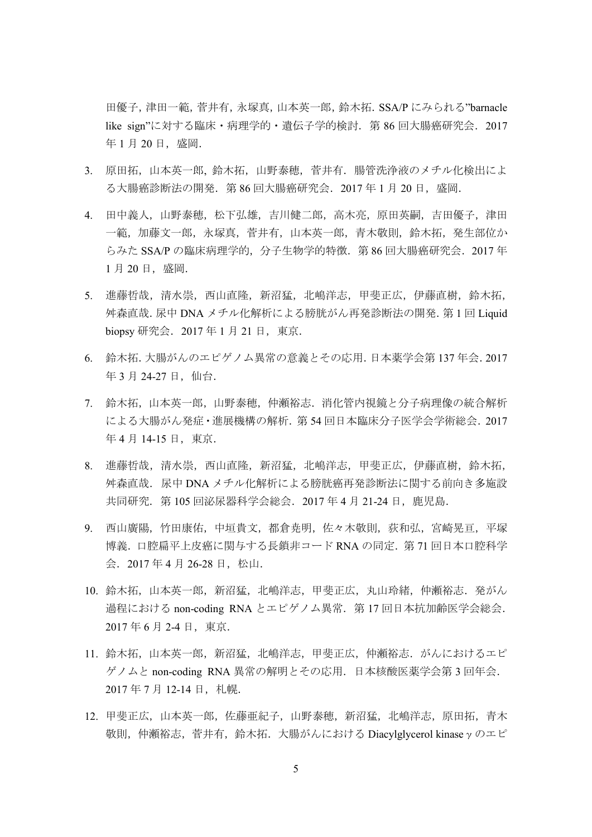田優子,津田一範,菅井有,永塚真,山本英一郎,鈴木拓.SSA/P にみられる"barnacle like sign"に対する臨床・病理学的・遺伝子学的検討.第 86 回大腸癌研究会.2017 年1月20日, 盛岡.

- 3. 原田拓,山本英一郎, 鈴木拓,山野泰穂,菅井有.腸管洗浄液のメチル化検出によ る大腸癌診断法の開発. 第 86 回大腸癌研究会. 2017 年 1 月 20 日, 盛岡.
- 4. 田中義人,山野泰穂,松下弘雄,吉川健二郎,高木亮,原田英嗣,吉田優子,津田 一範,加藤文一郎,永塚真,菅井有,山本英一郎,青木敬則,鈴木拓,発生部位か らみた SSA/P の臨床病理学的, 分子生物学的特徴. 第 86 回大腸癌研究会. 2017 年 1月20日, 盛岡.
- 5. 進藤哲哉,清水崇,西山直隆,新沼猛,北嶋洋志,甲斐正広,伊藤直樹,鈴木拓, 舛森直哉.尿中 DNA メチル化解析による膀胱がん再発診断法の開発.第 1 回 Liquid biopsy 研究会. 2017 年 1 月 21 日, 東京.
- 6. 鈴木拓.大腸がんのエピゲノム異常の意義とその応用.日本薬学会第 137 年会.2017 年 3 月 24-27 日, 仙台.
- 7. 鈴木拓,山本英一郎,山野泰穂,仲瀬裕志.消化管内視鏡と分子病理像の統合解析 による大腸がん発症・進展機構の解析.第 54 回日本臨床分子医学会学術総会.2017 年 4 月 14-15 日, 東京.
- 8. 進藤哲哉,清水崇,西山直隆,新沼猛,北嶋洋志,甲斐正広,伊藤直樹,鈴木拓, 舛森直哉.尿中 DNA メチル化解析による膀胱癌再発診断法に関する前向き多施設 共同研究. 第 105 回泌尿器科学会総会. 2017 年 4 月 21-24 日, 鹿児島.
- 9. 西山廣陽,竹田康佑,中垣貴文,都倉尭明,佐々木敬則,荻和弘,宮崎晃亘,平塚 博義.口腔扁平上皮癌に関与する長鎖非コード RNA の同定.第 71 回日本口腔科学 会. 2017年4月 26-28日, 松山.
- 10. 鈴木拓,山本英一郎,新沼猛,北嶋洋志,甲斐正広,丸山玲緒,仲瀬裕志. 発がん 過程における non-coding RNA とエピゲノム異常. 第17回日本抗加齢医学会総会. 2017 年 6 月 2-4 日,東京.
- 11. 鈴木拓,山本英一郎,新沼猛,北嶋洋志,甲斐正広,仲瀬裕志. がんにおけるエピ ゲノムと non-coding RNA 異常の解明とその応用.日本核酸医薬学会第 3 回年会. 2017年7月12-14日, 札幌.
- 12. 甲斐正広,山本英一郎,佐藤亜紀子,山野泰穂,新沼猛,北嶋洋志,原田拓,青木 敬則,仲瀬裕志,菅井有,鈴木拓.大腸がんにおける Diacylglycerol kinaseγのエピ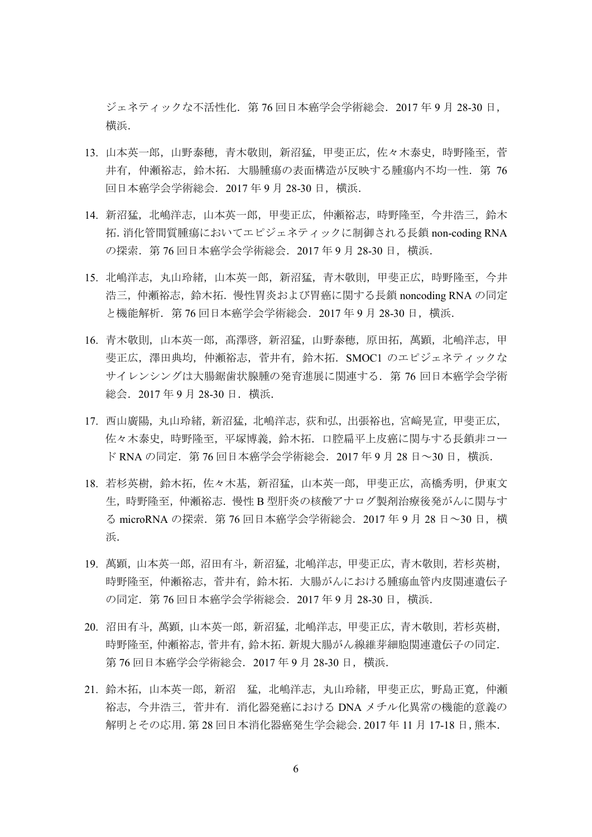ジェネティックな不活性化.第 76 回日本癌学会学術総会.2017 年 9 月 28-30 日, 横浜.

- 13. 山本英一郎,山野泰穂,青木敬則,新沼猛,甲斐正広,佐々木泰史,時野隆至,菅 井有,仲瀬裕志,鈴木拓.大腸腫瘍の表面構造が反映する腫瘍内不均一性. 第 76 回日本癌学会学術総会.2017 年 9 月 28-30 日,横浜.
- 14. 新沼猛, 北嶋洋志, 山本英一郎, 甲斐正広, 仲瀬裕志, 時野隆至, 今井浩三, 鈴木 拓.消化管間質腫瘍においてエピジェネティックに制御される長鎖 non-coding RNA の探索.第 76 回日本癌学会学術総会.2017 年 9 月 28-30 日,横浜.
- 15. 北嶋洋志,丸山玲緒,山本英一郎,新沼猛,青木敬則,甲斐正広,時野隆至,今井 浩三,仲瀬裕志,鈴木拓.慢性胃炎および胃癌に関する長鎖 noncoding RNA の同定 と機能解析.第 76 回日本癌学会学術総会.2017 年 9 月 28-30 日,横浜.
- 16. 青木敬則,山本英一郎,高澤啓,新沼猛,山野泰穂,原田拓,萬顕,北嶋洋志,甲 斐正広,澤田典均,仲瀬裕志,菅井有,鈴木拓.SMOC1 のエピジェネティックな サイレンシングは大腸鋸歯状腺腫の発育進展に関連する.第 76 回日本癌学会学術 総会.2017 年 9 月 28-30 日.横浜.
- 17. 西山廣陽,丸山玲緒,新沼猛,北嶋洋志,荻和弘,出張裕也,宮﨑晃宣,甲斐正広, 佐々木泰史,時野隆至,平塚博義,鈴木拓.口腔扁平上皮癌に関与する長鎖非コー ド RNA の同定. 第 76 回日本癌学会学術総会. 2017 年 9 月 28 日~30 日, 横浜.
- 18. 若杉英樹,鈴木拓,佐々木基,新沼猛,山本英一郎,甲斐正広,高橋秀明,伊東文 生,時野隆至,仲瀬裕志.慢性 B 型肝炎の核酸アナログ製剤治療後発がんに関与す る microRNA の探索.第 76 回日本癌学会学術総会.2017 年 9 月 28 日~30 日,横 浜.
- 19. 萬顕,山本英一郎,沼田有斗,新沼猛,北嶋洋志,甲斐正広,青木敬則,若杉英樹, 時野隆至,仲瀬裕志,菅井有,鈴木拓.大腸がんにおける腫瘍血管内皮関連遺伝子 の同定.第 76 回日本癌学会学術総会.2017 年 9 月 28-30 日,横浜.
- 20. 沼田有斗,萬顕,山本英一郎,新沼猛,北嶋洋志,甲斐正広,青木敬則,若杉英樹, 時野隆至,仲瀬裕志,菅井有,鈴木拓.新規大腸がん線維芽細胞関連遺伝子の同定. 第 76 回日本癌学会学術総会. 2017 年 9 月 28-30 日, 横浜.
- 21. 鈴木拓,山本英一郎,新沼 猛,北嶋洋志,丸山玲緒,甲斐正広,野島正寛,仲瀬 裕志,今井浩三,菅井有.消化器発癌における DNA メチル化異常の機能的意義の 解明とその応用.第 28 回日本消化器癌発生学会総会.2017 年 11 月 17-18 日,熊本.